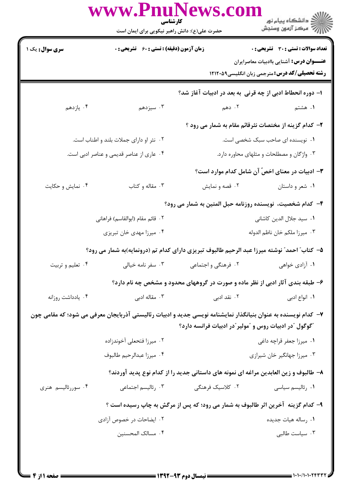|                                          | كارشناسي<br>حضرت علی(ع): دانش راهبر نیکویی برای ایمان است |                                                                                                                | الا دانشڪاه پيام نور<br>الا مرڪز آزمون وسنڊش                                                    |
|------------------------------------------|-----------------------------------------------------------|----------------------------------------------------------------------------------------------------------------|-------------------------------------------------------------------------------------------------|
| <b>سری سوال :</b> یک ۱                   | <b>زمان آزمون (دقیقه) : تستی : 60 ٪ تشریحی : 0</b>        |                                                                                                                | <b>تعداد سوالات : تستی : 30 ٪ تشریحی : 0</b><br><b>عنـــوان درس:</b> آشنایی باادبیات معاصرایران |
|                                          |                                                           |                                                                                                                | <b>رشته تحصیلی/کد درس:</b> مترجمی زبان انگلیسی1۲۱۲۰۵۹                                           |
|                                          |                                                           | ا– دوره انحطاط ادبی از چه قرنی به بعد در ادبیات آغاز شد؟                                                       |                                                                                                 |
| ۰۴ يازدهم                                | ۰۳ سیزدهم                                                 | ۲. دهم                                                                                                         | ۱. هشتم                                                                                         |
|                                          |                                                           | ۲- کدام گزینه از مختصات نثرقائم مقام به شمار می رود ؟                                                          |                                                                                                 |
|                                          | ۰۲ نثر او دارای جملات بلند و اطناب است.                   |                                                                                                                | ۰۱ نویسنده ای صاحب سبک شخصی است.                                                                |
| ۰۴ عاری از عناصر قدیمی و عناصر ادبی است. |                                                           |                                                                                                                | ۰۳ واژگان و مصطلحات و مثلهای محاوره دارد.                                                       |
|                                          |                                                           |                                                                                                                | <b>۳</b> – ادبیات در معنای اخصّ آن شامل کدام موارد است؟                                         |
| ۰۴ نمایش و حکایت                         | ۰۳ مقاله و کتاب                                           | ۰۲ قصه و نمایش                                                                                                 | ۰۱ شعر و داستان                                                                                 |
|                                          |                                                           | ۴– کدام شخصیت، نویسنده روزنامه حبل المتین به شمار می رود؟                                                      |                                                                                                 |
|                                          | ٢. قائم مقام (ابوالقاسم) فراهانى                          |                                                                                                                | ۰۱ سید جلال الدین کاشانی                                                                        |
|                                          | ۰۴ میرزا مهدی خان تبریزی                                  |                                                                                                                | ٠٣ ميرزا ملكم خان ناظم الدوله                                                                   |
|                                          |                                                           | ۵– کتاب ؒ احمد ؒ نوشته میرزا عبد الرحیم طالبوف تبریزی دارای کدام تم (درونمایه)به شمار می رود؟                  |                                                                                                 |
| ۰۴ تعلیم و تربیت                         | ۰۳ سفر نامه خیالی                                         | ۰۲ فرهنگی و اجتماعی                                                                                            | ۰۱ آزادی خواهی                                                                                  |
|                                          |                                                           | ۶- طبقه بندی آثار ادبی از نظر ماده و صورت در گروههای محدود و مشخص چه نام دارد؟                                 |                                                                                                 |
| ۰۴ یادداشت روزانه                        | ۰۳ مقاله ادبی                                             | ۰۲ نقد ادب <i>ی</i>                                                                                            | ۰۱ انواع ادبی                                                                                   |
|                                          |                                                           | ۷– کدام نویسنده به عنوان بنیانگذار نمایشنامه نویسی جدید و ادبیات رئالیستی آذربایجان معرفی می شود؛ که مقامی چون |                                                                                                 |
|                                          |                                                           | <sup>"</sup> گوگول <sup>"</sup> در ادبیات روس و <sup>"</sup> مولیر ّدر ادبیات فرانسه دارد؟                     |                                                                                                 |
|                                          | ۰۲ میرزا فتحعلی آخوندزاده                                 |                                                                                                                | ۰۱ میرزا جعفر قراچه داغی                                                                        |
|                                          | ۰۴ ميرزا عبدالرحيم طالبوف                                 |                                                                                                                | ۰۳ میرزا جهانگیر خان شیرازی                                                                     |
|                                          |                                                           | ۸- طالبوف و زین العابدین مراغه ای نمونه های داستانی جدید را از کدام نوع پدید آوردند؟                           |                                                                                                 |
| ۰۴ سوررئالیسم هنری                       | ۰۳ رئالیسم اجتماعی                                        | ۲. کلاسیک فرهنگی                                                                                               | ۰۱ رئاليسم سياسي                                                                                |
|                                          |                                                           | ۹- کدام گزینه ۖ آخرین اثر طالبوف به شمار می رود؛ که پس از مرگش به چاپ رسیده است ؟                              |                                                                                                 |
|                                          | ۰۲ ایضاحات در خصوص آزادی                                  |                                                                                                                | ۰۱ رساله هیات جدیده                                                                             |
|                                          | ۰۴ مسالک المحسنین                                         |                                                                                                                | ۰۳ سیاست طالبی                                                                                  |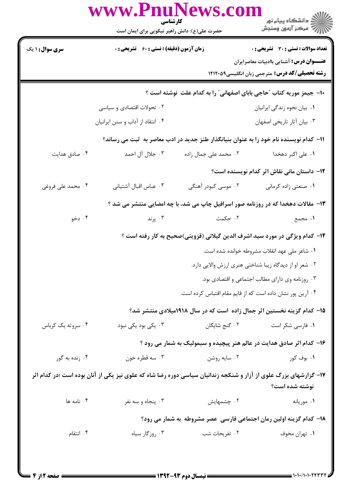|                                                                                                                                    | www.PnuNews.co<br>كارشناسي<br>حضرت علی(ع): دانش راهبر نیکویی برای ایمان است |                                                                                        | ر<br>دانشڪاه پيام نور)<br>ا∛ مرکز آزمون وسنڊش                                                                                                            |  |
|------------------------------------------------------------------------------------------------------------------------------------|-----------------------------------------------------------------------------|----------------------------------------------------------------------------------------|----------------------------------------------------------------------------------------------------------------------------------------------------------|--|
| <b>سری سوال : ۱ یک</b>                                                                                                             | <b>زمان آزمون (دقیقه) : تستی : 60 ٪ تشریحی : 0</b>                          |                                                                                        | <b>تعداد سوالات : تستي : 30 ٪ تشريحي : 0</b><br><b>عنـــوان درس:</b> آشنایی باادبیات معاصرایران<br><b>رشته تحصیلی/کد درس:</b> مترجمی زبان انگلیسی1۲۱۲۰۵۹ |  |
|                                                                                                                                    | ۰۲ تحولات اقتصادی و سیاسی                                                   | ∙ا− جیمز موریه کتاب ″حاجی بابای اصفهانی″ را به کدام علت نوشته است ؟                    | ۰۱ بیان نحوه زندگی ایرانیان                                                                                                                              |  |
|                                                                                                                                    | ۰۴ انتقاد از آداب و سنن ایرانیان                                            |                                                                                        | ۰۳ بیان آثار تاریخی اصفهان                                                                                                                               |  |
|                                                                                                                                    |                                                                             | 1۱– کدام نویسنده نام خود را به عنوان بنیانگذار طنز جدید در ادب معاصر به  ثبت می رساند؟ |                                                                                                                                                          |  |
| ۰۴ صادق هدایت                                                                                                                      | ۰۳ جلال آل احمد                                                             | ۰۲ محمد علی جمال زاده                                                                  | ۰۱ علی اکبر دهخدا                                                                                                                                        |  |
|                                                                                                                                    |                                                                             |                                                                                        | <b>۱۲</b> - داستان مانی نقاش اثر کدام نویسنده است؟                                                                                                       |  |
| ۰۴ محمد علی فروغی                                                                                                                  | ٠٣ عباس اقبال آشتياني                                                       | ۲. موسی کبودر آهنگی                                                                    | ۰۱ صنعتی زاده کرمانی                                                                                                                                     |  |
| ۱۳- مقالات دهخدا که در روزنامه صور اسرافیل چاپ می شد، با چه امضایی منتشر می شد ؟                                                   |                                                                             |                                                                                        |                                                                                                                                                          |  |
| ۰۴ دخو                                                                                                                             | ۰۳ پرند                                                                     | ۰۲ حکمت                                                                                | ١. مجمع                                                                                                                                                  |  |
|                                                                                                                                    |                                                                             | ۱۴– کدام ویژگی در مورد سید اشرف الدین گیلانی (قزوینی)صحیح به کار رفته است ؟            |                                                                                                                                                          |  |
|                                                                                                                                    |                                                                             |                                                                                        | ۰۱ شاعر ملی عهد انقلاب مشروطه خوانده شده است.                                                                                                            |  |
|                                                                                                                                    |                                                                             |                                                                                        | ۰۲ شعر او از دیدگاه زیبا شناختی هنری ارزش والایی دارد.                                                                                                   |  |
|                                                                                                                                    |                                                                             |                                                                                        | ۰۳ روزنامه وی دارای مطالب اجتماعی و اقتصادی بود.                                                                                                         |  |
|                                                                                                                                    | ۰۴ آرین پور نشان داده است که از قایم مقام اقتباس کرده است.                  |                                                                                        |                                                                                                                                                          |  |
|                                                                                                                                    |                                                                             | ۱۵– کدام گزینه نخستین اثر جمال زاده است که در سال ۱۹۱۸میلادی منتشر شد؟                 |                                                                                                                                                          |  |
| ۰۴ سروته یک کرباس                                                                                                                  | ۰۳ یکی بود یکی نبود                                                         | ۰۲ گنج شایگان                                                                          | ۰۱ فارسی شکر است                                                                                                                                         |  |
|                                                                                                                                    |                                                                             | ۱۶- کدام اثر صادق هدایت در عالم هنر پیچیده و سبمولیک به شمار می رود ؟                  |                                                                                                                                                          |  |
| ۰۴ زنده به گور                                                                                                                     | ۰۳ سه قطره خون                                                              | ۰۲ سايه روشن                                                                           | ۰۱. بوف کور                                                                                                                                              |  |
| ۱۷- گزارشهای بزرگ علوی از آزار و شنکجه زندانیان سیاسی دوره رضا شاه که علوی نیز یکی از آنان بوده است ؛در کدام اثر<br>نوشته شده است؟ |                                                                             |                                                                                        |                                                                                                                                                          |  |
| ۰۴ نامه ها                                                                                                                         | ۰۳ پنجاه و سه نفر                                                           | ۰۲ چشمهایش                                                                             | ٠١ موريانه                                                                                                                                               |  |
|                                                                                                                                    | 18- کدام گزینه اولین رمان اجتماعی فارسی عصر مشروطه به شمار می رود؟          |                                                                                        |                                                                                                                                                          |  |
| ۰۴ انتقام                                                                                                                          | ۰۳ روزگار سياه                                                              | ۰۲ تفریحات شب                                                                          | ۰۱ تهران مخوف                                                                                                                                            |  |
|                                                                                                                                    |                                                                             |                                                                                        |                                                                                                                                                          |  |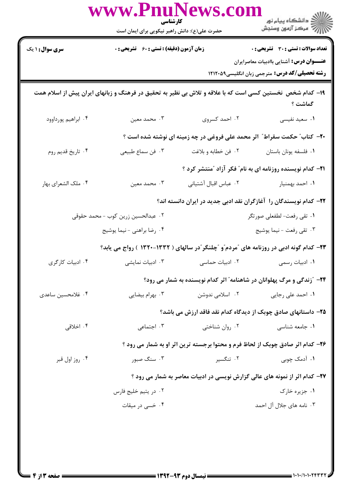|                        | حضرت علی(ع): دانش راهبر نیکویی برای ایمان است      |                            | ان دانشگاه پيام نور<br>ان مرکز آزمون وسنجش                                                                           |
|------------------------|----------------------------------------------------|----------------------------|----------------------------------------------------------------------------------------------------------------------|
| <b>سری سوال : ۱ یک</b> | <b>زمان آزمون (دقیقه) : تستی : 60 ٪ تشریحی : 0</b> |                            | <b>تعداد سوالات : تستی : 30 ٪ تشریحی : 0</b><br><b>عنـــوان درس:</b> آشنایی باادبیات معاصرایران                      |
|                        |                                                    |                            | <b>رشته تحصیلی/کد درس:</b> مترجمی زبان انگلیسی1۲۱۲۰۵۹                                                                |
|                        |                                                    |                            | ۱۹– کدام شخص نخستین کسی است که با علاقه و تلاش بی نظیر به تحقیق در فرهنگ و زبانهای ایران پیش از اسلام همت<br>گماشت ؟ |
| ۰۴ ابراهيم پورداوود    | ۰۳ محمد معین                                       | ۰۲ احمد کسروی              | ٠١ سعيد نفيسي                                                                                                        |
|                        |                                                    |                            | +۲- کتاب ؒ حکمت سقراط ؒ اثر محمد علی فروغی در چه زمینه ای نوشته شده است ؟                                            |
| ۰۴ تاريخ قديم روم      | ۰۳ فن سماع طبیعی                                   | ٠٢ فن خطابه و بلاغت        | ٠١ فلسفه يونان باستان                                                                                                |
|                        |                                                    |                            | <b>۲۱</b> - کدام نویسنده روزنامه ای به نام ؒ فکر آزاد  ؒمنتشر کرد ؟                                                  |
| ۰۴ ملک الشعرای بهار    | ۰۳ محمد معین                                       | ۰۲ عباس اقبال آشتيانى      | ۰۱ احمد بهمنيار                                                                                                      |
|                        |                                                    |                            | ۲۲– کدام نویسندگان را آغازگران نقد ادبی جدید در ایران دانسته اند؟                                                    |
|                        | ۰۲ عبدالحسین زرین کوب - محمد حقوقی                 |                            | ۰۱ تقى رفعت- لطفعلى صورتگر                                                                                           |
|                        | ۰۴ رضا براهني - نيما يوشيج                         |                            | ۰۳ تقى رفعت - نيما يوشيج                                                                                             |
|                        |                                                    |                            | ۲۳- کدام گونه ادبی در روزنامه های "مردم"و "چلنگر"در سالهای ( ۱۳۳۲-۱۳۲۰ ) رواج می یابد؟                               |
| ۰۴ ادبیات کارگری       | ۰۳ ادبیات نمایشی                                   | ۰۲ ادبیات حماسی            | ٠١ ادبيات رسمي                                                                                                       |
|                        |                                                    |                            | ۲۴- "زندگی و مرگ پهلوانان در شاهنامه" اثر کدام نویسنده به شمار می رود؟                                               |
| ۰۴ غلامحسین ساعدی      | ۰۳ بهرام بيضايي                                    | ۰۲ اسلامی ندوشن            | ۰۱ احمد علی رجایی                                                                                                    |
|                        |                                                    |                            | ۲۵– داستانهای صادق چوبک از دیدگاه کدام نقد فاقد ارزش می باشد؟                                                        |
| ۰۴ اخلاقی              | ۰۳ اجتماعی                                         | ۰ <sup>۲</sup> روان شناختی | ٠١. جامعه شناسي                                                                                                      |
|                        |                                                    |                            | ۲۶- کدام اثر صادق چوبک از لحاظ فرم و محتوا برجسته ترین اثر او به شمار می رود ؟                                       |
| ۰۴ روز اول قبر         | ۰۳ سنگ صبور                                        | ۰۲ تنگسیر                  | ۰۱ آدمک چوبی                                                                                                         |
|                        |                                                    |                            | ۲۷- کدام اثر از نمونه های عالی گزارش نویسی در ادبیات معاصر به شمار می رود ؟                                          |
|                        | ۰۲ در يتيم خليج فارس                               |                            | ۰۱ جزیره خارک                                                                                                        |
|                        | ۰۴ خسی در میقات                                    |                            | ۰۳ نامه های جلال آل احمد                                                                                             |